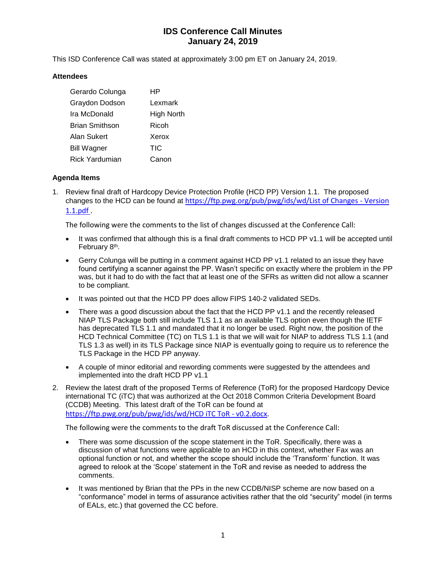# **IDS Conference Call Minutes January 24, 2019**

This ISD Conference Call was stated at approximately 3:00 pm ET on January 24, 2019.

#### **Attendees**

| Gerardo Colunga       | НP         |
|-----------------------|------------|
| Graydon Dodson        | Lexmark    |
| Ira McDonald          | High North |
| <b>Brian Smithson</b> | Ricoh      |
| Alan Sukert           | Xerox      |
| <b>Bill Wagner</b>    | TIC        |
| <b>Rick Yardumian</b> | Canon      |

### **Agenda Items**

1. Review final draft of Hardcopy Device Protection Profile (HCD PP) Version 1.1. The proposed changes to the HCD can be found at [https://ftp.pwg.org/pub/pwg/ids/wd/List of Changes -](https://ftp.pwg.org/pub/pwg/ids/wd/List%20of%20Changes%20-%20Version%201.1.pdf) Version [1.1.pdf .](https://ftp.pwg.org/pub/pwg/ids/wd/List%20of%20Changes%20-%20Version%201.1.pdf)

The following were the comments to the list of changes discussed at the Conference Call:

- It was confirmed that although this is a final draft comments to HCD PP v1.1 will be accepted until February 8<sup>th</sup>.
- Gerry Colunga will be putting in a comment against HCD PP v1.1 related to an issue they have found certifying a scanner against the PP. Wasn't specific on exactly where the problem in the PP was, but it had to do with the fact that at least one of the SFRs as written did not allow a scanner to be compliant.
- It was pointed out that the HCD PP does allow FIPS 140-2 validated SEDs.
- There was a good discussion about the fact that the HCD PP v1.1 and the recently released NIAP TLS Package both still include TLS 1.1 as an available TLS option even though the IETF has deprecated TLS 1.1 and mandated that it no longer be used. Right now, the position of the HCD Technical Committee (TC) on TLS 1.1 is that we will wait for NIAP to address TLS 1.1 (and TLS 1.3 as well) in its TLS Package since NIAP is eventually going to require us to reference the TLS Package in the HCD PP anyway.
- A couple of minor editorial and rewording comments were suggested by the attendees and implemented into the draft HCD PP v1.1
- 2. Review the latest draft of the proposed Terms of Reference (ToR) for the proposed Hardcopy Device international TC (iTC) that was authorized at the Oct 2018 Common Criteria Development Board (CCDB) Meeting. This latest draft of the ToR can be found at [https://ftp.pwg.org/pub/pwg/ids/wd/HCD iTC ToR -](https://ftp.pwg.org/pub/pwg/ids/wd/HCD%20iTC%20ToR%20-%20v0.2.docx) v0.2.docx.

The following were the comments to the draft ToR discussed at the Conference Call:

- There was some discussion of the scope statement in the ToR. Specifically, there was a discussion of what functions were applicable to an HCD in this context, whether Fax was an optional function or not, and whether the scope should include the 'Transform' function. It was agreed to relook at the 'Scope' statement in the ToR and revise as needed to address the comments.
- It was mentioned by Brian that the PPs in the new CCDB/NISP scheme are now based on a "conformance" model in terms of assurance activities rather that the old "security" model (in terms of EALs, etc.) that governed the CC before.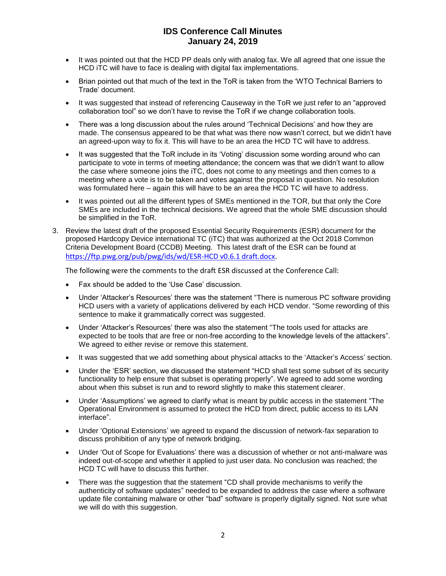## **IDS Conference Call Minutes January 24, 2019**

- It was pointed out that the HCD PP deals only with analog fax. We all agreed that one issue the HCD ITC will have to face is dealing with digital fax implementations.
- Brian pointed out that much of the text in the ToR is taken from the 'WTO Technical Barriers to Trade' document.
- It was suggested that instead of referencing Causeway in the ToR we just refer to an "approved collaboration tool" so we don't have to revise the ToR if we change collaboration tools.
- There was a long discussion about the rules around 'Technical Decisions' and how they are made. The consensus appeared to be that what was there now wasn't correct, but we didn't have an agreed-upon way to fix it. This will have to be an area the HCD TC will have to address.
- It was suggested that the ToR include in its 'Voting' discussion some wording around who can participate to vote in terms of meeting attendance; the concern was that we didn't want to allow the case where someone joins the iTC, does not come to any meetings and then comes to a meeting where a vote is to be taken and votes against the proposal in question. No resolution was formulated here – again this will have to be an area the HCD TC will have to address.
- It was pointed out all the different types of SMEs mentioned in the TOR, but that only the Core SMEs are included in the technical decisions. We agreed that the whole SME discussion should be simplified in the ToR.
- 3. Review the latest draft of the proposed Essential Security Requirements (ESR) document for the proposed Hardcopy Device international TC (iTC) that was authorized at the Oct 2018 Common Criteria Development Board (CCDB) Meeting. This latest draft of the ESR can be found at [https://ftp.pwg.org/pub/pwg/ids/wd/ESR-HCD v0.6.1 draft.docx.](https://ftp.pwg.org/pub/pwg/ids/wd/ESR-HCD%20v0.6.1%20draft.docx)

The following were the comments to the draft ESR discussed at the Conference Call:

- Fax should be added to the 'Use Case' discussion.
- Under 'Attacker's Resources' there was the statement "There is numerous PC software providing HCD users with a variety of applications delivered by each HCD vendor. "Some rewording of this sentence to make it grammatically correct was suggested.
- Under 'Attacker's Resources' there was also the statement "The tools used for attacks are expected to be tools that are free or non-free according to the knowledge levels of the attackers". We agreed to either revise or remove this statement.
- It was suggested that we add something about physical attacks to the 'Attacker's Access' section.
- Under the 'ESR' section, we discussed the statement "HCD shall test some subset of its security functionality to help ensure that subset is operating properly". We agreed to add some wording about when this subset is run and to reword slightly to make this statement clearer.
- Under 'Assumptions' we agreed to clarify what is meant by public access in the statement "The Operational Environment is assumed to protect the HCD from direct, public access to its LAN interface".
- Under 'Optional Extensions' we agreed to expand the discussion of network-fax separation to discuss prohibition of any type of network bridging.
- Under 'Out of Scope for Evaluations' there was a discussion of whether or not anti-malware was indeed out-of-scope and whether it applied to just user data. No conclusion was reached; the HCD TC will have to discuss this further.
- There was the suggestion that the statement "CD shall provide mechanisms to verify the authenticity of software updates" needed to be expanded to address the case where a software update file containing malware or other "bad" software is properly digitally signed. Not sure what we will do with this suggestion.